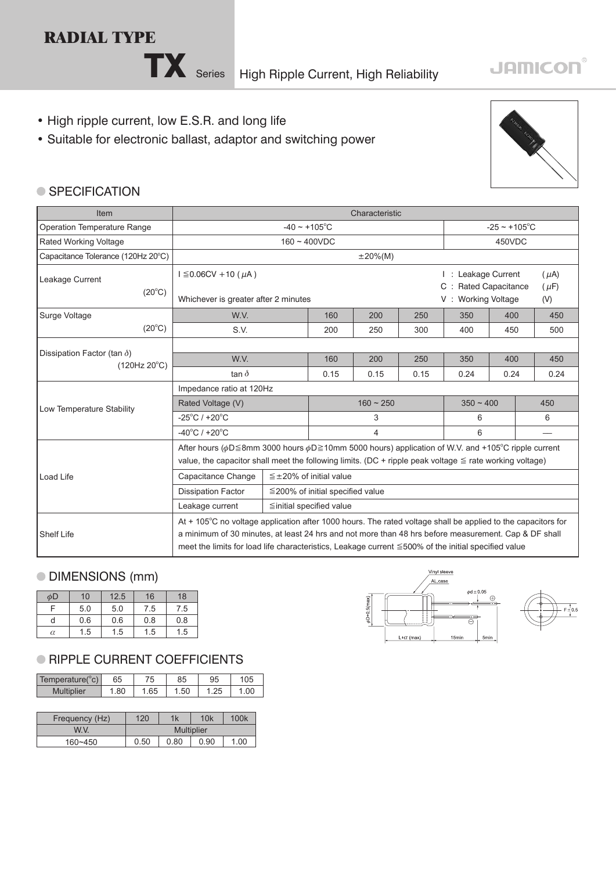# **RADIAL TYPE**



TX Series High Ripple Current, High Reliability

# **JAMICON®**

- High ripple current, low E.S.R. and long life
- Suitable for electronic ballast, adaptor and switching power



#### **SPECIFICATION**

| <b>Item</b>                                                 | Characteristic                                                                                                                                                                                                                                                                                                              |                                |      |                |             |                                                                                                     |     |      |     |
|-------------------------------------------------------------|-----------------------------------------------------------------------------------------------------------------------------------------------------------------------------------------------------------------------------------------------------------------------------------------------------------------------------|--------------------------------|------|----------------|-------------|-----------------------------------------------------------------------------------------------------|-----|------|-----|
| <b>Operation Temperature Range</b>                          | $-40 \sim +105^{\circ}$ C                                                                                                                                                                                                                                                                                                   |                                |      |                |             | $-25 \sim +105^{\circ}$ C                                                                           |     |      |     |
| Rated Working Voltage                                       | $160 - 400VDC$                                                                                                                                                                                                                                                                                                              |                                |      |                |             | 450VDC                                                                                              |     |      |     |
| Capacitance Tolerance (120Hz 20°C)                          |                                                                                                                                                                                                                                                                                                                             |                                |      | $\pm 20\%$ (M) |             |                                                                                                     |     |      |     |
| Leakage Current<br>$(20^{\circ}C)$                          | $I \leq 0.06$ CV + 10 (µA)<br>Whichever is greater after 2 minutes                                                                                                                                                                                                                                                          |                                |      |                |             | I : Leakage Current<br>$(\mu A)$<br>C : Rated Capacitance<br>$(\mu F)$<br>V: Working Voltage<br>(V) |     |      |     |
| Surge Voltage                                               | W.V.                                                                                                                                                                                                                                                                                                                        | 160                            | 200  | 250            | 350         | 400                                                                                                 |     | 450  |     |
| $(20^{\circ}C)$                                             | S.V.                                                                                                                                                                                                                                                                                                                        |                                | 200  | 250            | 300         | 400                                                                                                 | 450 |      | 500 |
| Dissipation Factor (tan $\delta$ )<br>$(120Hz 20^{\circ}C)$ |                                                                                                                                                                                                                                                                                                                             |                                |      |                |             |                                                                                                     |     |      |     |
|                                                             | W.V.                                                                                                                                                                                                                                                                                                                        | 160                            | 200  | 250            | 350         | 400                                                                                                 |     | 450  |     |
|                                                             | tan $\delta$                                                                                                                                                                                                                                                                                                                | 0.15                           | 0.15 | 0.15           | 0.24        | 0.24                                                                                                |     | 0.24 |     |
|                                                             | Impedance ratio at 120Hz                                                                                                                                                                                                                                                                                                    |                                |      |                |             |                                                                                                     |     |      |     |
| Low Temperature Stability                                   | Rated Voltage (V)                                                                                                                                                                                                                                                                                                           | $160 - 250$                    |      |                | $350 - 400$ |                                                                                                     |     | 450  |     |
|                                                             | $-25^{\circ}$ C / +20 $^{\circ}$ C                                                                                                                                                                                                                                                                                          | 3                              |      |                | 6           |                                                                                                     |     | 6    |     |
|                                                             | $-40^{\circ}$ C / +20 $^{\circ}$ C                                                                                                                                                                                                                                                                                          | 4                              |      |                | 6           |                                                                                                     |     |      |     |
|                                                             | After hours ( $\phi$ D≦8mm 3000 hours $\phi$ D≧10mm 5000 hours) application of W.V. and +105°C ripple current<br>value, the capacitor shall meet the following limits. (DC + ripple peak voltage $\le$ rate working voltage)                                                                                                |                                |      |                |             |                                                                                                     |     |      |     |
| Load Life                                                   | Capacitance Change<br>$\leq \pm 20\%$ of initial value                                                                                                                                                                                                                                                                      |                                |      |                |             |                                                                                                     |     |      |     |
|                                                             | <b>Dissipation Factor</b><br>$\leq$ 200% of initial specified value                                                                                                                                                                                                                                                         |                                |      |                |             |                                                                                                     |     |      |     |
|                                                             | Leakage current                                                                                                                                                                                                                                                                                                             | $\leq$ initial specified value |      |                |             |                                                                                                     |     |      |     |
| <b>Shelf Life</b>                                           | At + 105°C no voltage application after 1000 hours. The rated voltage shall be applied to the capacitors for<br>a minimum of 30 minutes, at least 24 hrs and not more than 48 hrs before measurement. Cap & DF shall<br>meet the limits for load life characteristics, Leakage current ≤500% of the initial specified value |                                |      |                |             |                                                                                                     |     |      |     |

### DIMENSIONS (mm)

 $\overline{\phantom{a}}$ 

| $\phi$ D | 10  | 12.5 | 16  | 18  |
|----------|-----|------|-----|-----|
| Е        | 5.0 | 5.0  | 7.5 | 7.5 |
|          | 0.6 | 0.6  | 0.8 | 0.8 |
| α        | 1.5 | 1.5  | 1.5 | 1.5 |

## **RIPPLE CURRENT COEFFICIENTS**

| Temperature(°c)   | 65   | 75   | 85  | 95 | 105  |
|-------------------|------|------|-----|----|------|
| <b>Multiplier</b> | 1.80 | 1.65 | .50 |    | 1.00 |
|                   |      |      |     |    |      |

| Frequency (Hz) | 120               | 1k   | 10k  | 100k |  |
|----------------|-------------------|------|------|------|--|
| W.V.           | <b>Multiplier</b> |      |      |      |  |
| $160 - 450$    | 0.50              | 0.80 | 0.90 | 1.00 |  |